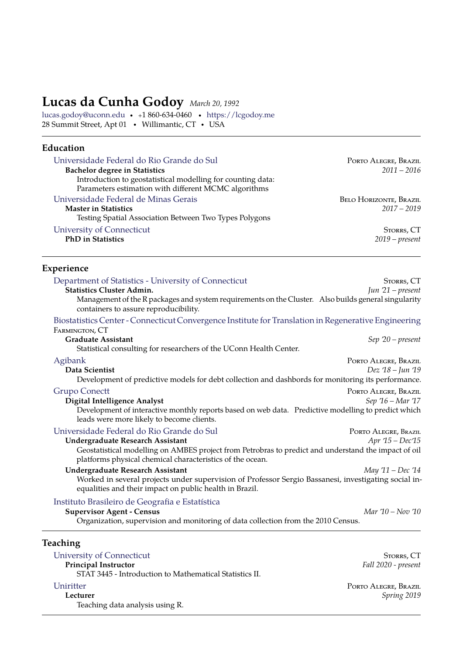# **Lucas da Cunha Godoy** *March 20, 1992*

[lucas.godoy@uconn.edu](mailto:lucas.godoy@uconn.edu) · <sup>+</sup>1 860-634-0460 · [https://lcgodoy.me](https://lcgodoy.github.io) 28 Summit Street, Apt 01 • Willimantic, CT • USA

## **Education**

| Universidade Federal do Rio Grande do Sul                   | PORTO ALEGRE, BRAZIL          |
|-------------------------------------------------------------|-------------------------------|
| <b>Bachelor degree in Statistics</b>                        | $2011 - 2016$                 |
| Introduction to geostatistical modelling for counting data: |                               |
| Parameters estimation with different MCMC algorithms        |                               |
| Universidade Federal de Minas Gerais                        | <b>BELO HORIZONTE, BRAZIL</b> |
| <b>Master in Statistics</b>                                 | $2017 - 2019$                 |
| Testing Spatial Association Between Two Types Polygons      |                               |
| University of Connecticut                                   | STORRS, CT                    |
| <b>PhD</b> in Statistics                                    | $2019$ – present              |
|                                                             |                               |

## **Experience**

| Department of Statistics - University of Connecticut                                                                                                              | STORRS, CT           |
|-------------------------------------------------------------------------------------------------------------------------------------------------------------------|----------------------|
| <b>Statistics Cluster Admin.</b>                                                                                                                                  | Jun $21$ – present   |
| Management of the R packages and system requirements on the Cluster. Also builds general singularity<br>containers to assure reproducibility.                     |                      |
| Biostatistics Center - Connecticut Convergence Institute for Translation in Regenerative Engineering<br>FARMINGTON, CT                                            |                      |
| <b>Graduate Assistant</b>                                                                                                                                         | $Sep 20-present$     |
| Statistical consulting for researchers of the UConn Health Center.                                                                                                |                      |
| Agibank                                                                                                                                                           | PORTO ALEGRE, BRAZIL |
| Data Scientist                                                                                                                                                    | Dez '18 - Jun '19    |
| Development of predictive models for debt collection and dashbords for monitoring its performance.                                                                |                      |
| <b>Grupo Conectt</b>                                                                                                                                              | PORTO ALEGRE, BRAZIL |
| <b>Digital Intelligence Analyst</b>                                                                                                                               | Sep $16 - Mar$ 17    |
| Development of interactive monthly reports based on web data. Predictive modelling to predict which<br>leads were more likely to become clients.                  |                      |
| Universidade Federal do Rio Grande do Sul                                                                                                                         | PORTO ALEGRE, BRAZIL |
| <b>Undergraduate Research Assistant</b>                                                                                                                           | Apr '15 - Dec'15     |
| Geostatistical modelling on AMBES project from Petrobras to predict and understand the impact of oil<br>platforms physical chemical characteristics of the ocean. |                      |
| <b>Undergraduate Research Assistant</b>                                                                                                                           | May '11 - Dec '14    |
| Worked in several projects under supervision of Professor Sergio Bassanesi, investigating social in-<br>equalities and their impact on public health in Brazil.   |                      |
| Instituto Brasileiro de Geografia e Estatística                                                                                                                   |                      |
| <b>Supervisor Agent - Census</b>                                                                                                                                  | Mar 10 – Nov 10      |
| Organization, supervision and monitoring of data collection from the 2010 Census.                                                                                 |                      |
| Teaching                                                                                                                                                          |                      |
| University of Connecticut                                                                                                                                         | STORRS, CT           |
| <b>Principal Instructor</b>                                                                                                                                       | Fall 2020 - present  |
| STAT 3445 - Introduction to Mathematical Statistics II.                                                                                                           |                      |
| Uniritter                                                                                                                                                         | PORTO ALEGRE, BRAZIL |

**Lecturer** *Spring 2019*

Teaching data analysis using R.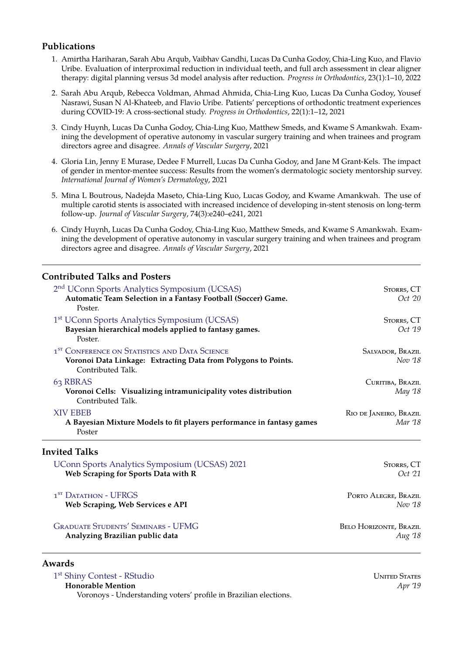## **Publications**

- 1. Amirtha Hariharan, Sarah Abu Arqub, Vaibhav Gandhi, Lucas Da Cunha Godoy, Chia-Ling Kuo, and Flavio Uribe. Evaluation of interproximal reduction in individual teeth, and full arch assessment in clear aligner therapy: digital planning versus 3d model analysis after reduction. *Progress in Orthodontics*, 23(1):1–10, 2022
- 2. Sarah Abu Arqub, Rebecca Voldman, Ahmad Ahmida, Chia-Ling Kuo, Lucas Da Cunha Godoy, Yousef Nasrawi, Susan N Al-Khateeb, and Flavio Uribe. Patients' perceptions of orthodontic treatment experiences during COVID-19: A cross-sectional study. *Progress in Orthodontics*, 22(1):1–12, 2021
- 3. Cindy Huynh, Lucas Da Cunha Godoy, Chia-Ling Kuo, Matthew Smeds, and Kwame S Amankwah. Examining the development of operative autonomy in vascular surgery training and when trainees and program directors agree and disagree. *Annals of Vascular Surgery*, 2021
- 4. Gloria Lin, Jenny E Murase, Dedee F Murrell, Lucas Da Cunha Godoy, and Jane M Grant-Kels. The impact of gender in mentor-mentee success: Results from the women's dermatologic society mentorship survey. *International Journal of Women's Dermatology*, 2021
- 5. Mina L Boutrous, Nadejda Maseto, Chia-Ling Kuo, Lucas Godoy, and Kwame Amankwah. The use of multiple carotid stents is associated with increased incidence of developing in-stent stenosis on long-term follow-up. *Journal of Vascular Surgery*, 74(3):e240–e241, 2021
- 6. Cindy Huynh, Lucas Da Cunha Godoy, Chia-Ling Kuo, Matthew Smeds, and Kwame S Amankwah. Examining the development of operative autonomy in vascular surgery training and when trainees and program directors agree and disagree. *Annals of Vascular Surgery*, 2021

## **Contributed Talks and Posters**

| 2 <sup>nd</sup> UConn Sports Analytics Symposium (UCSAS)<br>Automatic Team Selection in a Fantasy Football (Soccer) Game.<br>Poster.             | STORRS, CT<br>Oct 20              |
|--------------------------------------------------------------------------------------------------------------------------------------------------|-----------------------------------|
| 1 <sup>st</sup> UConn Sports Analytics Symposium (UCSAS)<br>Bayesian hierarchical models applied to fantasy games.<br>Poster.                    | Storrs, CT<br>Oct '19             |
| 1 <sup>ST</sup> CONFERENCE ON STATISTICS AND DATA SCIENCE<br>Voronoi Data Linkage: Extracting Data from Polygons to Points.<br>Contributed Talk. | SALVADOR, BRAZIL<br>Nov '18       |
| 63 RBRAS<br>Voronoi Cells: Visualizing intramunicipality votes distribution<br>Contributed Talk.                                                 | CURITIBA, BRAZIL<br>May 18        |
| <b>XIV EBEB</b><br>A Bayesian Mixture Models to fit players performance in fantasy games<br>Poster                                               | RIO DE JANEIRO, BRAZIL<br>Mar '18 |
| Invited Talks                                                                                                                                    |                                   |
| UConn Sports Analytics Symposium (UCSAS) 2021<br>Web Scraping for Sports Data with R                                                             | STORRS, CT<br>Oct '21             |
| 1 <sup>ST</sup> DATATHON - UFRGS<br>Web Scraping, Web Services e API                                                                             | PORTO ALEGRE, BRAZIL<br>Nov '18   |

#### [Graduate Students' Seminars - UFMG](https://ufmg.br/) Belo Horizonte, Brazil **Analyzing Brazilian public data** *Aug '18*

#### **Awards**

<sup>1st</sup> [Shiny Contest - RStudio](https://community.rstudio.com/t/shiny-contest-submission-voronoys-understanding-voters-profile-in-brazilian-elections/25586) United States Contest - RStudio United States Contest - United States **Honorable Mention** *Apr '19* Voronoys - Understanding voters' profile in Brazilian elections.